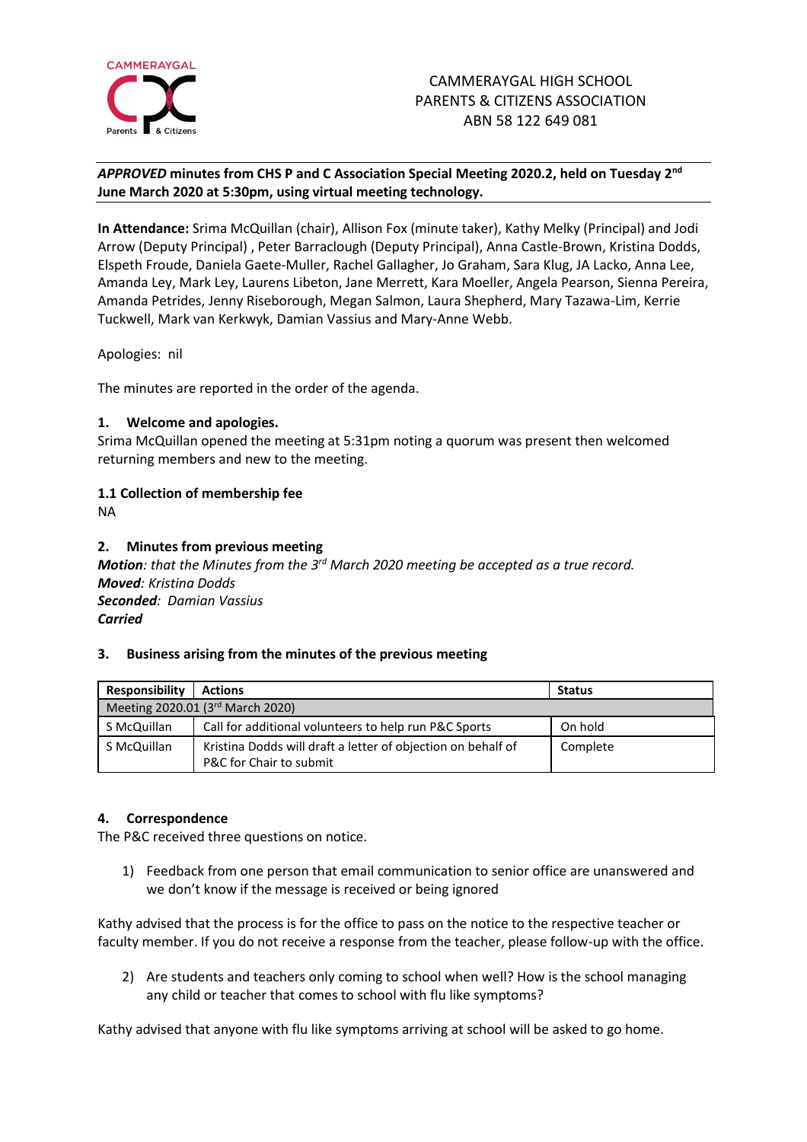

# *APPROVED* **minutes from CHS P and C Association Special Meeting 2020.2, held on Tuesday 2 nd June March 2020 at 5:30pm, using virtual meeting technology.**

**In Attendance:** Srima McQuillan (chair), Allison Fox (minute taker), Kathy Melky (Principal) and Jodi Arrow (Deputy Principal) , Peter Barraclough (Deputy Principal), Anna Castle-Brown, Kristina Dodds, Elspeth Froude, Daniela Gaete-Muller, Rachel Gallagher, Jo Graham, Sara Klug, JA Lacko, Anna Lee, Amanda Ley, Mark Ley, Laurens Libeton, Jane Merrett, Kara Moeller, Angela Pearson, Sienna Pereira, Amanda Petrides, Jenny Riseborough, Megan Salmon, Laura Shepherd, Mary Tazawa-Lim, Kerrie Tuckwell, Mark van Kerkwyk, Damian Vassius and Mary-Anne Webb.

Apologies: nil

The minutes are reported in the order of the agenda.

## **1. Welcome and apologies.**

Srima McQuillan opened the meeting at 5:31pm noting a quorum was present then welcomed returning members and new to the meeting.

# **1.1 Collection of membership fee**

NA

## **2. Minutes from previous meeting**

**Motion**: that the Minutes from the 3<sup>rd</sup> March 2020 meeting be accepted as a true record. *Moved: Kristina Dodds Seconded: Damian Vassius Carried*

#### **3. Business arising from the minutes of the previous meeting**

| <b>Responsibility</b>            | <b>Actions</b>                                               | <b>Status</b> |
|----------------------------------|--------------------------------------------------------------|---------------|
| Meeting 2020.01 (3rd March 2020) |                                                              |               |
| S McQuillan                      | Call for additional volunteers to help run P&C Sports        | On hold       |
| S McQuillan                      | Kristina Dodds will draft a letter of objection on behalf of | Complete      |
|                                  | P&C for Chair to submit                                      |               |

# **4. Correspondence**

The P&C received three questions on notice.

1) Feedback from one person that email communication to senior office are unanswered and we don't know if the message is received or being ignored

Kathy advised that the process is for the office to pass on the notice to the respective teacher or faculty member. If you do not receive a response from the teacher, please follow-up with the office.

2) Are students and teachers only coming to school when well? How is the school managing any child or teacher that comes to school with flu like symptoms?

Kathy advised that anyone with flu like symptoms arriving at school will be asked to go home.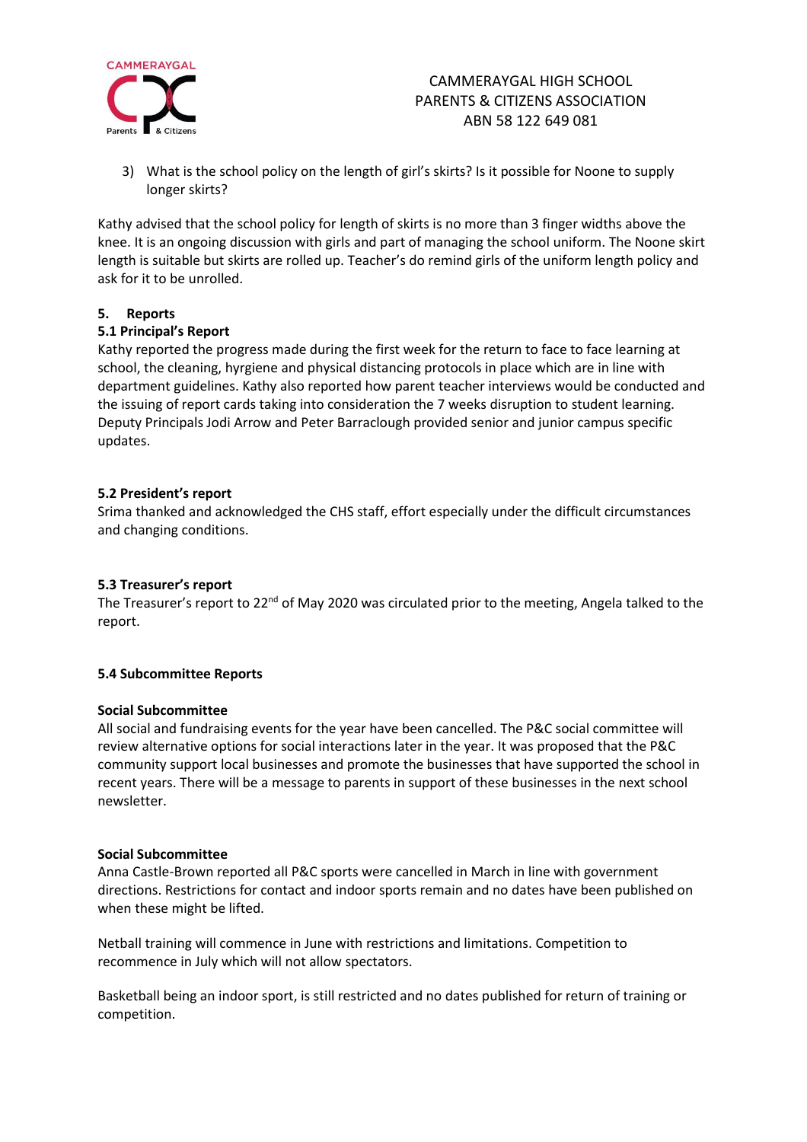

# CAMMERAYGAL HIGH SCHOOL PARENTS & CITIZENS ASSOCIATION ABN 58 122 649 081

3) What is the school policy on the length of girl's skirts? Is it possible for Noone to supply longer skirts?

Kathy advised that the school policy for length of skirts is no more than 3 finger widths above the knee. It is an ongoing discussion with girls and part of managing the school uniform. The Noone skirt length is suitable but skirts are rolled up. Teacher's do remind girls of the uniform length policy and ask for it to be unrolled.

## **5. Reports**

## **5.1 Principal's Report**

Kathy reported the progress made during the first week for the return to face to face learning at school, the cleaning, hyrgiene and physical distancing protocols in place which are in line with department guidelines. Kathy also reported how parent teacher interviews would be conducted and the issuing of report cards taking into consideration the 7 weeks disruption to student learning. Deputy Principals Jodi Arrow and Peter Barraclough provided senior and junior campus specific updates.

## **5.2 President's report**

Srima thanked and acknowledged the CHS staff, effort especially under the difficult circumstances and changing conditions.

#### **5.3 Treasurer's report**

The Treasurer's report to 22<sup>nd</sup> of May 2020 was circulated prior to the meeting, Angela talked to the report.

#### **5.4 Subcommittee Reports**

#### **Social Subcommittee**

All social and fundraising events for the year have been cancelled. The P&C social committee will review alternative options for social interactions later in the year. It was proposed that the P&C community support local businesses and promote the businesses that have supported the school in recent years. There will be a message to parents in support of these businesses in the next school newsletter.

#### **Social Subcommittee**

Anna Castle-Brown reported all P&C sports were cancelled in March in line with government directions. Restrictions for contact and indoor sports remain and no dates have been published on when these might be lifted.

Netball training will commence in June with restrictions and limitations. Competition to recommence in July which will not allow spectators.

Basketball being an indoor sport, is still restricted and no dates published for return of training or competition.